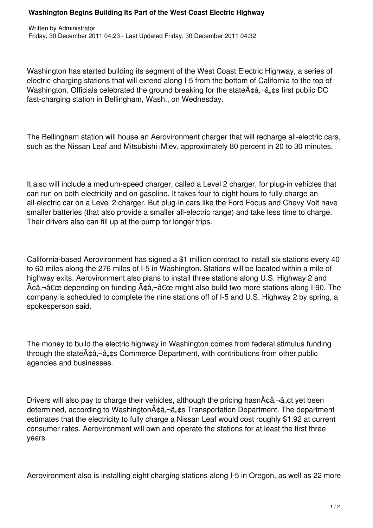## **Washington Begins Building Its Part of the West Coast Electric Highway**

Washington has started building its segment of the West Coast Electric Highway, a series of electric-charging stations that will extend along I-5 from the bottom of California to the top of Washington. Officials celebrated the ground breaking for the state $A\hat{\alpha}$ ,  $\hat{\alpha}$ ,  $\hat{\alpha}$ ,  $\hat{\alpha}$  first public DC fast-charging station in Bellingham, Wash., on Wednesday.

The Bellingham station will house an Aerovironment charger that will recharge all-electric cars, such as the Nissan Leaf and Mitsubishi iMiev, approximately 80 percent in 20 to 30 minutes.

It also will include a medium-speed charger, called a Level 2 charger, for plug-in vehicles that can run on both electricity and on gasoline. It takes four to eight hours to fully charge an all-electric car on a Level 2 charger. But plug-in cars like the Ford Focus and Chevy Volt have smaller batteries (that also provide a smaller all-electric range) and take less time to charge. Their drivers also can fill up at the pump for longer trips.

California-based Aerovironment has signed a \$1 million contract to install six stations every 40 to 60 miles along the 276 miles of I-5 in Washington. Stations will be located within a mile of highway exits. Aerovironment also plans to install three stations along U.S. Highway 2 and  $\tilde{A}$  $\hat{\alpha}$  $\hat{\alpha}$  $\hat{\alpha}$  depending on funding  $\tilde{A}$  $\hat{\alpha}$  $\hat{\alpha}$ , $\neg \hat{\alpha}$  $\in$  might also build two more stations along I-90. The company is scheduled to complete the nine stations off of I-5 and U.S. Highway 2 by spring, a spokesperson said.

The money to build the electric highway in Washington comes from federal stimulus funding through the state $\tilde{A}$  $\alpha$  $\hat{a}$ , $\alpha$ s Commerce Department, with contributions from other public agencies and businesses.

Drivers will also pay to charge their vehicles, although the pricing hasn $\tilde{A} \phi \hat{a}$ ,  $\phi \hat{a}$ ,  $\phi t$  yet been determined, according to Washington $\tilde{A}$ câ, -â, cs Transportation Department. The department estimates that the electricity to fully charge a Nissan Leaf would cost roughly \$1.92 at current consumer rates. Aerovironment will own and operate the stations for at least the first three years.

Aerovironment also is installing eight charging stations along I-5 in Oregon, as well as 22 more